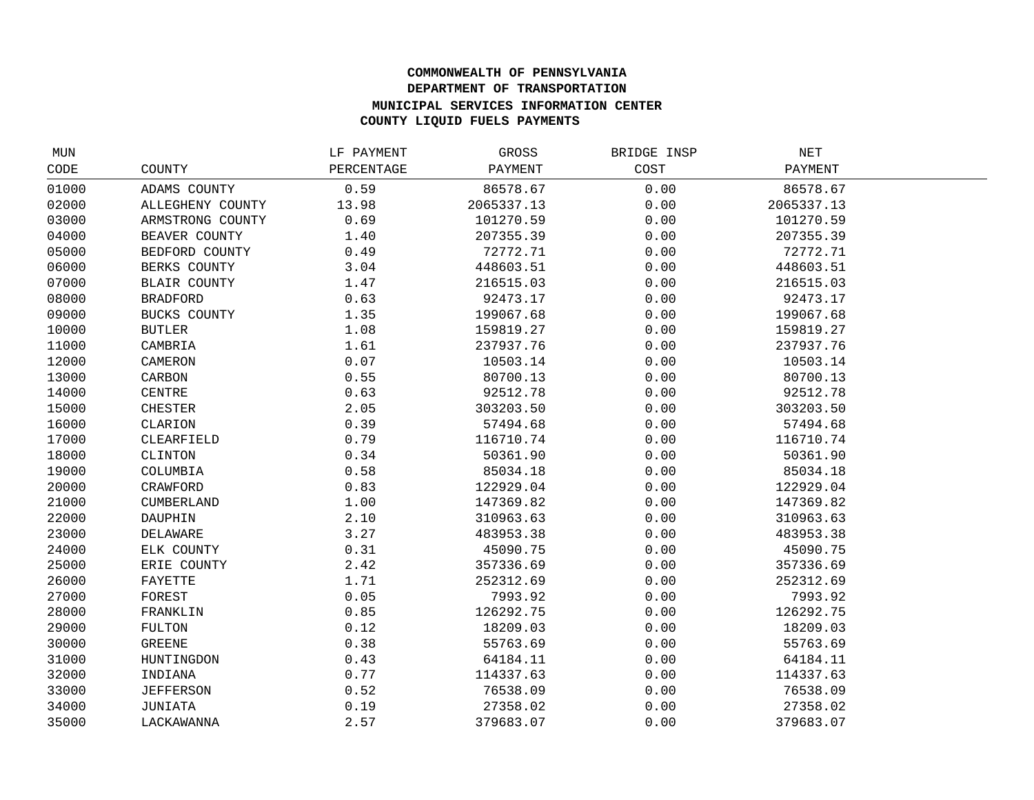## **COMMONWEALTH OF PENNSYLVANIA DEPARTMENT OF TRANSPORTATION MUNICIPAL SERVICES INFORMATION CENTER COUNTY LIQUID FUELS PAYMENTS**

| MUN   |                     | LF PAYMENT | GROSS      | BRIDGE INSP | NET        |  |
|-------|---------------------|------------|------------|-------------|------------|--|
| CODE  | COUNTY              | PERCENTAGE | PAYMENT    | COST        | PAYMENT    |  |
| 01000 | ADAMS COUNTY        | 0.59       | 86578.67   | 0.00        | 86578.67   |  |
| 02000 | ALLEGHENY COUNTY    | 13.98      | 2065337.13 | 0.00        | 2065337.13 |  |
| 03000 | ARMSTRONG COUNTY    | 0.69       | 101270.59  | 0.00        | 101270.59  |  |
| 04000 | BEAVER COUNTY       | 1.40       | 207355.39  | 0.00        | 207355.39  |  |
| 05000 | BEDFORD COUNTY      | 0.49       | 72772.71   | 0.00        | 72772.71   |  |
| 06000 | BERKS COUNTY        | 3.04       | 448603.51  | 0.00        | 448603.51  |  |
| 07000 | <b>BLAIR COUNTY</b> | 1.47       | 216515.03  | 0.00        | 216515.03  |  |
| 08000 | <b>BRADFORD</b>     | 0.63       | 92473.17   | 0.00        | 92473.17   |  |
| 09000 | BUCKS COUNTY        | 1.35       | 199067.68  | 0.00        | 199067.68  |  |
| 10000 | <b>BUTLER</b>       | 1.08       | 159819.27  | 0.00        | 159819.27  |  |
| 11000 | CAMBRIA             | 1.61       | 237937.76  | 0.00        | 237937.76  |  |
| 12000 | CAMERON             | 0.07       | 10503.14   | 0.00        | 10503.14   |  |
| 13000 | CARBON              | 0.55       | 80700.13   | 0.00        | 80700.13   |  |
| 14000 | <b>CENTRE</b>       | 0.63       | 92512.78   | 0.00        | 92512.78   |  |
| 15000 | <b>CHESTER</b>      | 2.05       | 303203.50  | 0.00        | 303203.50  |  |
| 16000 | CLARION             | 0.39       | 57494.68   | 0.00        | 57494.68   |  |
| 17000 | CLEARFIELD          | 0.79       | 116710.74  | 0.00        | 116710.74  |  |
| 18000 | CLINTON             | 0.34       | 50361.90   | 0.00        | 50361.90   |  |
| 19000 | COLUMBIA            | 0.58       | 85034.18   | 0.00        | 85034.18   |  |
| 20000 | CRAWFORD            | 0.83       | 122929.04  | 0.00        | 122929.04  |  |
| 21000 | <b>CUMBERLAND</b>   | 1.00       | 147369.82  | 0.00        | 147369.82  |  |
| 22000 | DAUPHIN             | 2.10       | 310963.63  | 0.00        | 310963.63  |  |
| 23000 | DELAWARE            | 3.27       | 483953.38  | 0.00        | 483953.38  |  |
| 24000 | ELK COUNTY          | 0.31       | 45090.75   | 0.00        | 45090.75   |  |
| 25000 | ERIE COUNTY         | 2.42       | 357336.69  | 0.00        | 357336.69  |  |
| 26000 | FAYETTE             | 1.71       | 252312.69  | 0.00        | 252312.69  |  |
| 27000 | FOREST              | 0.05       | 7993.92    | 0.00        | 7993.92    |  |
| 28000 | FRANKLIN            | 0.85       | 126292.75  | 0.00        | 126292.75  |  |
| 29000 | <b>FULTON</b>       | 0.12       | 18209.03   | 0.00        | 18209.03   |  |
| 30000 | <b>GREENE</b>       | 0.38       | 55763.69   | 0.00        | 55763.69   |  |
| 31000 | HUNTINGDON          | 0.43       | 64184.11   | 0.00        | 64184.11   |  |
| 32000 | INDIANA             | 0.77       | 114337.63  | 0.00        | 114337.63  |  |
| 33000 | <b>JEFFERSON</b>    | 0.52       | 76538.09   | 0.00        | 76538.09   |  |
| 34000 | JUNIATA             | 0.19       | 27358.02   | 0.00        | 27358.02   |  |
| 35000 | LACKAWANNA          | 2.57       | 379683.07  | 0.00        | 379683.07  |  |